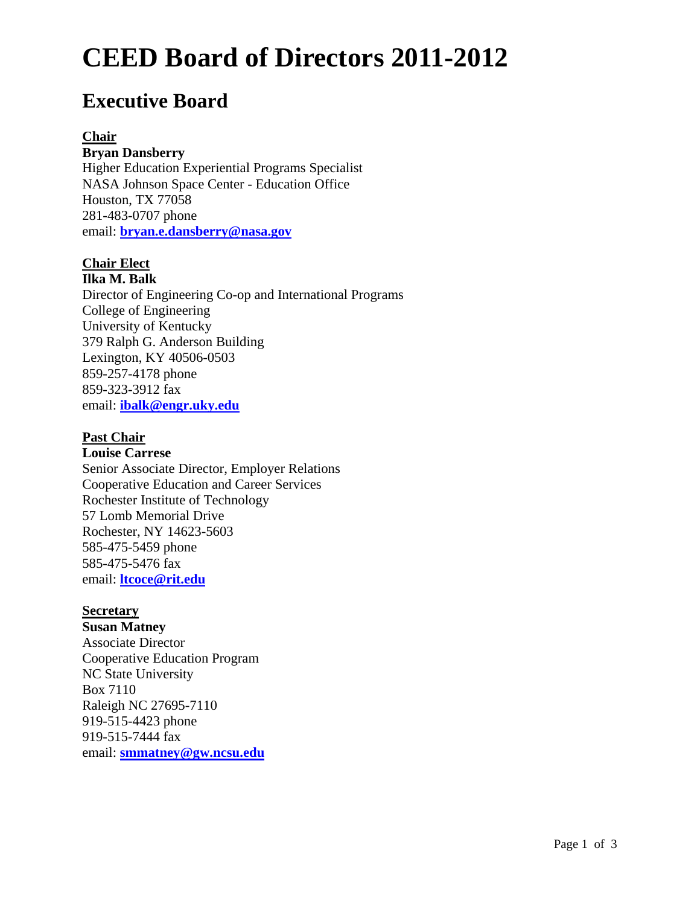# **CEED Board of Directors 2011-2012**

# **Executive Board**

#### **Chair**

#### **Bryan Dansberry**

Higher Education Experiential Programs Specialist NASA Johnson Space Center - Education Office Houston, TX 77058 281-483-0707 phone email: **[bryan.e.dansberry@nasa.gov](mailto:bryan.e.dansberry@nasa.gov)**

#### **Chair Elect Ilka M. Balk**

Director of Engineering Co-op and International Programs College of Engineering University of Kentucky 379 Ralph G. Anderson Building Lexington, KY 40506-0503 859-257-4178 phone 859-323-3912 fax email: **[ibalk@engr.uky.edu](mailto:ibalk@engr.uky.edu)**

#### **Past Chair**

**Louise Carrese** Senior Associate Director, Employer Relations Cooperative Education and Career Services Rochester Institute of Technology 57 Lomb Memorial Drive Rochester, NY 14623-5603 585-475-5459 phone 585-475-5476 fax email: **[ltcoce@rit.edu](mailto:ltcoce@rit.edu)**

#### **Secretary**

**Susan Matney** Associate Director Cooperative Education Program NC State University Box 7110 Raleigh NC 27695-7110 919-515-4423 phone 919-515-7444 fax email: **[smmatney@gw.ncsu.edu](mailto:smmatney@gw.ncsu.edu)**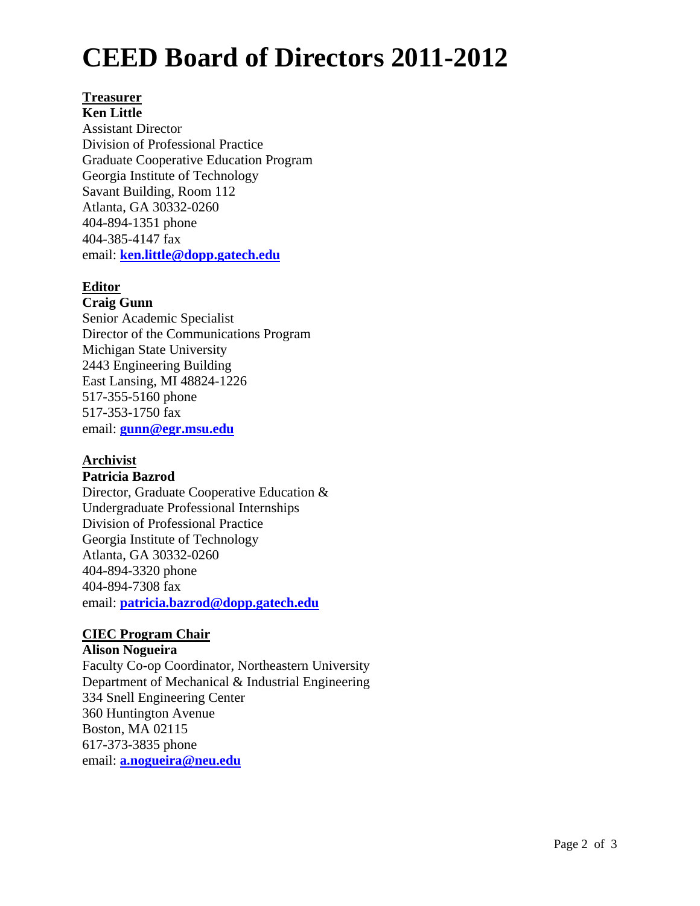# **CEED Board of Directors 2011-2012**

## **Treasurer**

**Ken Little** Assistant Director Division of Professional Practice Graduate Cooperative Education Program Georgia Institute of Technology Savant Building, Room 112 Atlanta, GA 30332-0260 404-894-1351 phone 404-385-4147 fax email: **[ken.little@dopp.gatech.edu](mailto:ken.little@dopp.gatech.edu)**

### **Editor**

### **Craig Gunn**

Senior Academic Specialist Director of the Communications Program Michigan State University 2443 Engineering Building East Lansing, MI 48824-1226 517-355-5160 phone 517-353-1750 fax email: **[gunn@egr.msu.edu](mailto:gunn@egr.msu.edu)**

### **Archivist**

#### **Patricia Bazrod**

Director, Graduate Cooperative Education & Undergraduate Professional Internships Division of Professional Practice Georgia Institute of Technology Atlanta, GA 30332-0260 404-894-3320 phone 404-894-7308 fax email: **[patricia.bazrod@dopp.gatech.edu](mailto:patricia.bazrod@dopp.gatech.edu)**

#### **CIEC Program Chair**

#### **Alison Nogueira**

Faculty Co-op Coordinator, Northeastern University Department of Mechanical & Industrial Engineering 334 Snell Engineering Center 360 Huntington Avenue Boston, MA 02115 617-373-3835 phone email: **[a.nogueira@neu.edu](mailto:a.nogueira@neu.edu)**